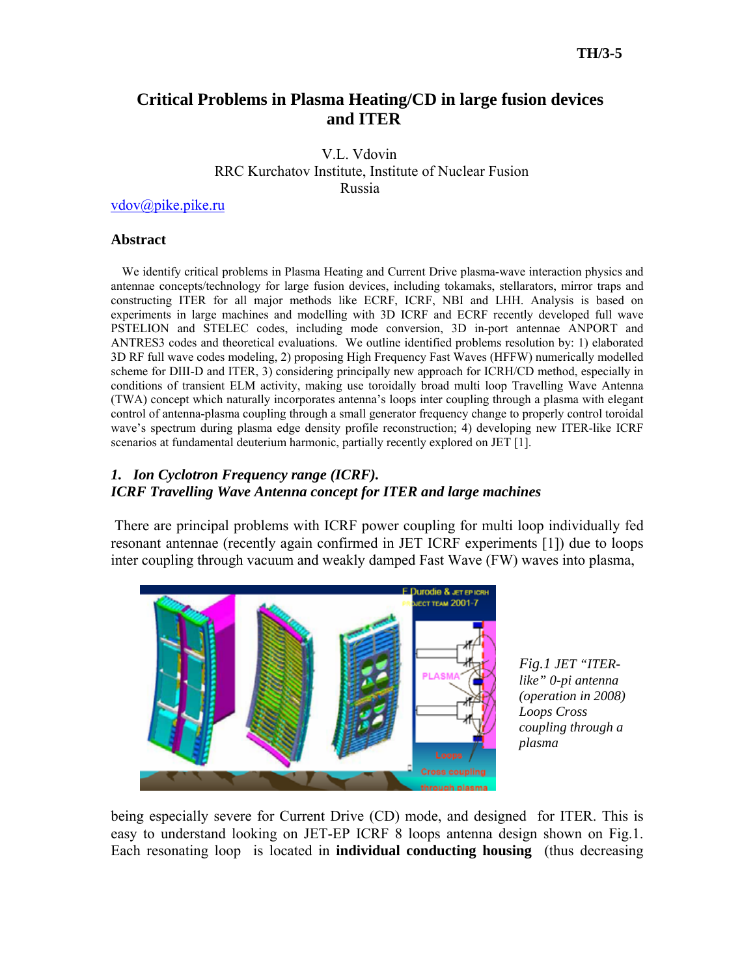# **Critical Problems in Plasma Heating/CD in large fusion devices and ITER**

 V.L. Vdovin RRC Kurchatov Institute, Institute of Nuclear Fusion Russia

[vdov@pike.pike.ru](mailto:vdov@pike.pike.ru)

## **Abstract**

 We identify critical problems in Plasma Heating and Current Drive plasma-wave interaction physics and antennae concepts/technology for large fusion devices, including tokamaks, stellarators, mirror traps and constructing ITER for all major methods like ECRF, ICRF, NBI and LHH. Analysis is based on experiments in large machines and modelling with 3D ICRF and ECRF recently developed full wave PSTELION and STELEC codes, including mode conversion, 3D in-port antennae ANPORT and ANTRES3 codes and theoretical evaluations. We outline identified problems resolution by: 1) elaborated 3D RF full wave codes modeling, 2) proposing High Frequency Fast Waves (HFFW) numerically modelled scheme for DIII-D and ITER, 3) considering principally new approach for ICRH/CD method, especially in conditions of transient ELM activity, making use toroidally broad multi loop Travelling Wave Antenna (TWA) concept which naturally incorporates antenna's loops inter coupling through a plasma with elegant control of antenna-plasma coupling through a small generator frequency change to properly control toroidal wave's spectrum during plasma edge density profile reconstruction; 4) developing new ITER-like ICRF scenarios at fundamental deuterium harmonic, partially recently explored on JET [1].

# *1. Ion Cyclotron Frequency range (ICRF). ICRF Travelling Wave Antenna concept for ITER and large machines*

There are principal problems with ICRF power coupling for multi loop individually fed resonant antennae (recently again confirmed in JET ICRF experiments [1]) due to loops inter coupling through vacuum and weakly damped Fast Wave (FW) waves into plasma,



*Fig.1 JET "ITERlike" 0-pi antenna (operation in 2008) Loops Cross coupling through a plasma* 

being especially severe for Current Drive (CD) mode, and designed for ITER. This is easy to understand looking on JET-EP ICRF 8 loops antenna design shown on Fig.1. Each resonating loop is located in **individual conducting housing** (thus decreasing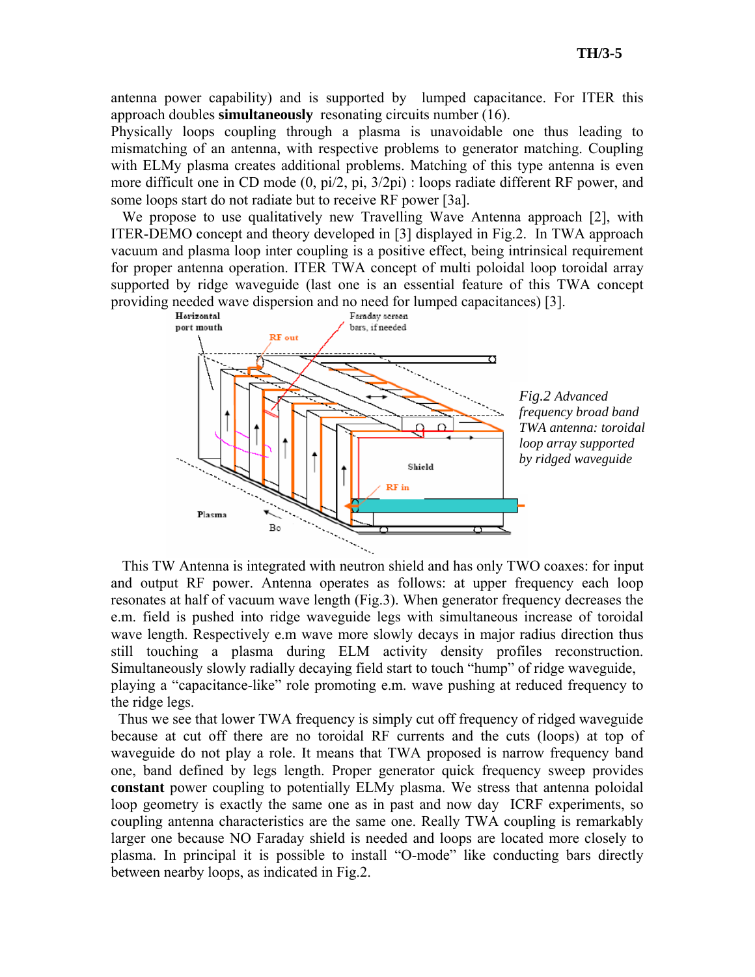antenna power capability) and is supported by lumped capacitance. For ITER this approach doubles **simultaneously** resonating circuits number (16).

Physically loops coupling through a plasma is unavoidable one thus leading to mismatching of an antenna, with respective problems to generator matching. Coupling with ELMy plasma creates additional problems. Matching of this type antenna is even more difficult one in CD mode (0, pi/2, pi, 3/2pi) : loops radiate different RF power, and some loops start do not radiate but to receive RF power [3a].

We propose to use qualitatively new Travelling Wave Antenna approach [2], with ITER-DEMO concept and theory developed in [3] displayed in Fig.2. In TWA approach vacuum and plasma loop inter coupling is a positive effect, being intrinsical requirement for proper antenna operation. ITER TWA concept of multi poloidal loop toroidal array supported by ridge waveguide (last one is an essential feature of this TWA concept providing needed wave dispersion and no need for lumped capacitances) [3].<br>
Herizontal Faraday screen



*Fig.2 Advanced frequency broad band TWA antenna: toroidal loop array supported by ridged waveguide* 

 This TW Antenna is integrated with neutron shield and has only TWO coaxes: for input and output RF power. Antenna operates as follows: at upper frequency each loop resonates at half of vacuum wave length (Fig.3). When generator frequency decreases the e.m. field is pushed into ridge waveguide legs with simultaneous increase of toroidal wave length. Respectively e.m wave more slowly decays in major radius direction thus still touching a plasma during ELM activity density profiles reconstruction. Simultaneously slowly radially decaying field start to touch "hump" of ridge waveguide, playing a "capacitance-like" role promoting e.m. wave pushing at reduced frequency to the ridge legs.

 Thus we see that lower TWA frequency is simply cut off frequency of ridged waveguide because at cut off there are no toroidal RF currents and the cuts (loops) at top of waveguide do not play a role. It means that TWA proposed is narrow frequency band one, band defined by legs length. Proper generator quick frequency sweep provides **constant** power coupling to potentially ELMy plasma. We stress that antenna poloidal loop geometry is exactly the same one as in past and now day ICRF experiments, so coupling antenna characteristics are the same one. Really TWA coupling is remarkably larger one because NO Faraday shield is needed and loops are located more closely to plasma. In principal it is possible to install "O-mode" like conducting bars directly between nearby loops, as indicated in Fig.2.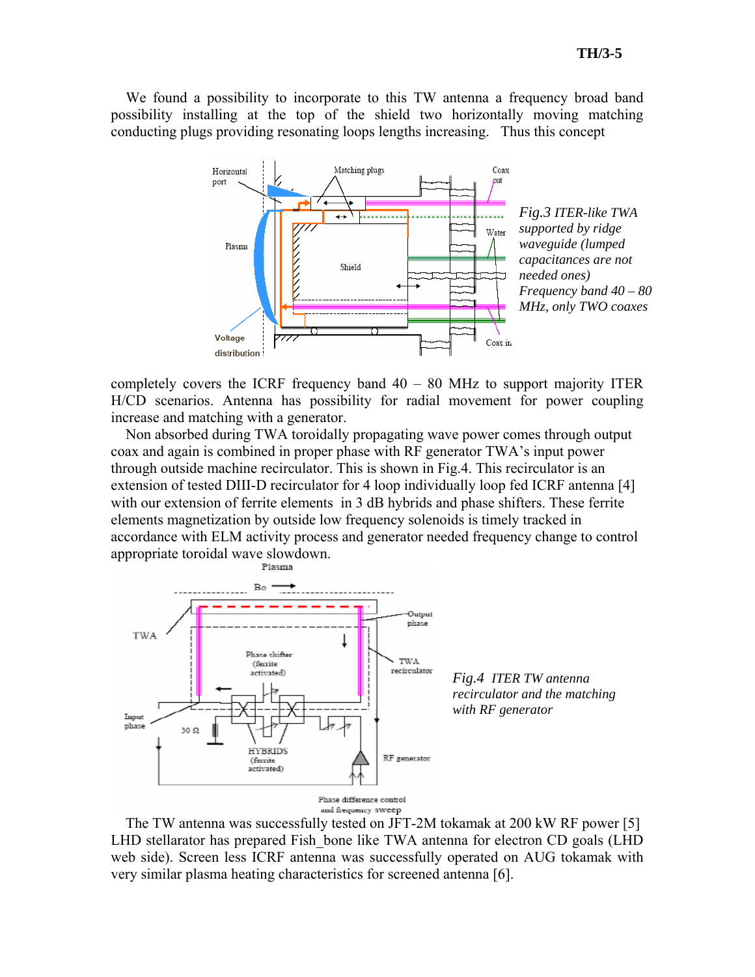We found a possibility to incorporate to this TW antenna a frequency broad band possibility installing at the top of the shield two horizontally moving matching conducting plugs providing resonating loops lengths increasing. Thus this concept



completely covers the ICRF frequency band 40 – 80 MHz to support majority ITER H/CD scenarios. Antenna has possibility for radial movement for power coupling increase and matching with a generator.

 Non absorbed during TWA toroidally propagating wave power comes through output coax and again is combined in proper phase with RF generator TWA's input power through outside machine recirculator. This is shown in Fig.4. This recirculator is an extension of tested DIII-D recirculator for 4 loop individually loop fed ICRF antenna [4] with our extension of ferrite elements in 3 dB hybrids and phase shifters. These ferrite elements magnetization by outside low frequency solenoids is timely tracked in accordance with ELM activity process and generator needed frequency change to control appropriate toroidal wave slowdown.



*Fig.4 ITER TW antenna recirculator and the matching with RF generator* 



 The TW antenna was successfully tested on JFT-2M tokamak at 200 kW RF power [5] LHD stellarator has prepared Fish\_bone like TWA antenna for electron CD goals (LHD web side). Screen less ICRF antenna was successfully operated on AUG tokamak with very similar plasma heating characteristics for screened antenna [6].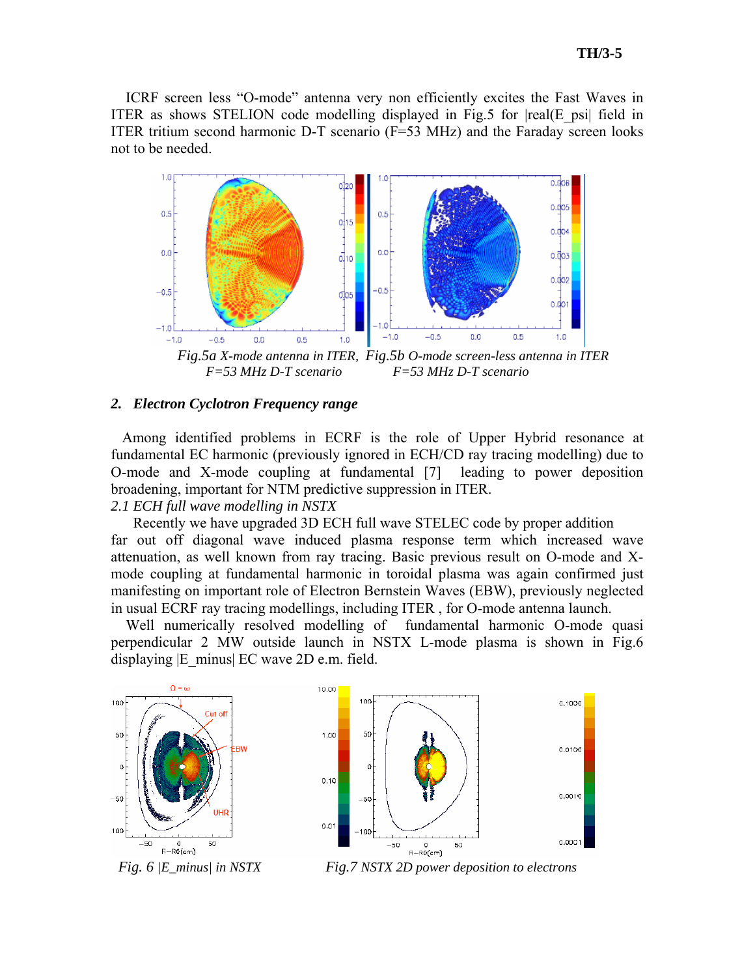ICRF screen less "O-mode" antenna very non efficiently excites the Fast Waves in ITER as shows STELION code modelling displayed in Fig.5 for  $|real(E|psi|$  field in ITER tritium second harmonic D-T scenario (F=53 MHz) and the Faraday screen looks not to be needed.



 *Fig.5a X-mode antenna in ITER, Fig.5b O-mode screen-less antenna in ITER F=53 MHz D-T scenario F=53 MHz D-T scenario* 

#### *2. Electron Cyclotron Frequency range*

Among identified problems in ECRF is the role of Upper Hybrid resonance at fundamental EC harmonic (previously ignored in ECH/CD ray tracing modelling) due to O-mode and X-mode coupling at fundamental [7] leading to power deposition broadening, important for NTM predictive suppression in ITER.

# *2.1 ECH full wave modelling in NSTX*

Recently we have upgraded 3D ECH full wave STELEC code by proper addition far out off diagonal wave induced plasma response term which increased wave attenuation, as well known from ray tracing. Basic previous result on O-mode and Xmode coupling at fundamental harmonic in toroidal plasma was again confirmed just manifesting on important role of Electron Bernstein Waves (EBW), previously neglected in usual ECRF ray tracing modellings, including ITER , for O-mode antenna launch.

Well numerically resolved modelling of fundamental harmonic O-mode quasi perpendicular 2 MW outside launch in NSTX L-mode plasma is shown in Fig.6 displaying  $|E|$  minus $|EC$  wave 2D e.m. field.





*Fig. 6 |E\_minus| in NSTX Fig.7 NSTX 2D power deposition to electrons*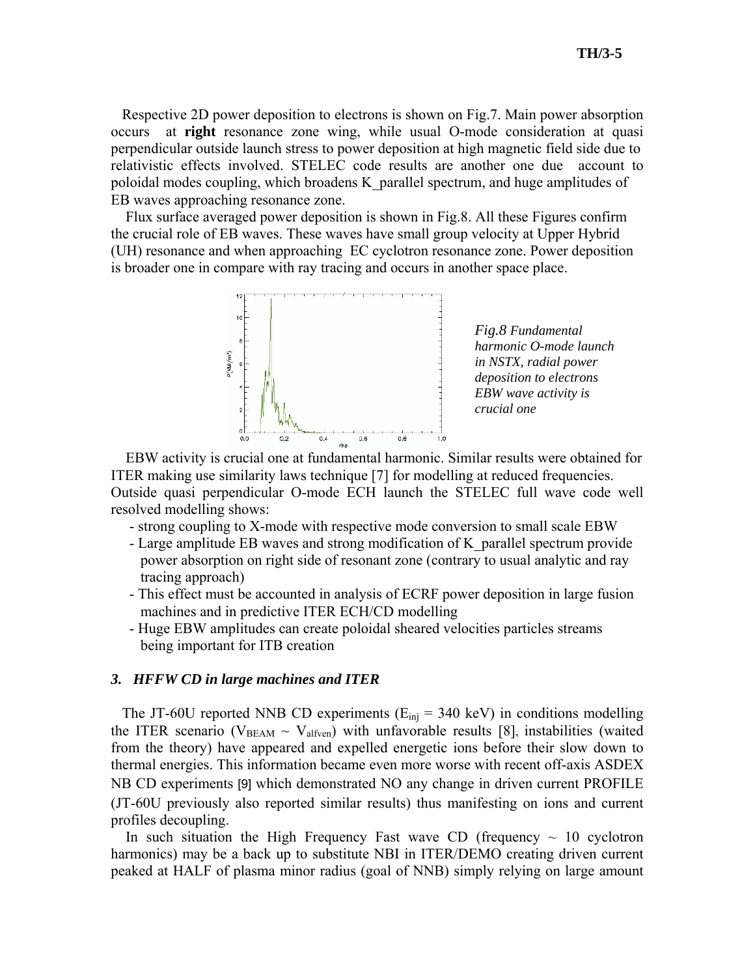Respective 2D power deposition to electrons is shown on Fig.7. Main power absorption occurs at **right** resonance zone wing, while usual O-mode consideration at quasi perpendicular outside launch stress to power deposition at high magnetic field side due to relativistic effects involved. STELEC code results are another one due account to poloidal modes coupling, which broadens K\_parallel spectrum, and huge amplitudes of EB waves approaching resonance zone.

 Flux surface averaged power deposition is shown in Fig.8. All these Figures confirm the crucial role of EB waves. These waves have small group velocity at Upper Hybrid (UH) resonance and when approaching EC cyclotron resonance zone. Power deposition is broader one in compare with ray tracing and occurs in another space place.



*Fig.8 Fundamental harmonic O-mode launch in NSTX, radial power deposition to electrons EBW wave activity is crucial one* 

 EBW activity is crucial one at fundamental harmonic. Similar results were obtained for ITER making use similarity laws technique [7] for modelling at reduced frequencies. Outside quasi perpendicular O-mode ECH launch the STELEC full wave code well resolved modelling shows:

- strong coupling to X-mode with respective mode conversion to small scale EBW

- Large amplitude EB waves and strong modification of K\_parallel spectrum provide power absorption on right side of resonant zone (contrary to usual analytic and ray tracing approach)
- This effect must be accounted in analysis of ECRF power deposition in large fusion machines and in predictive ITER ECH/CD modelling
- Huge EBW amplitudes can create poloidal sheared velocities particles streams being important for ITB creation

## *3. HFFW CD in large machines and ITER*

The JT-60U reported NNB CD experiments ( $E_{\text{ini}}$  = 340 keV) in conditions modelling the ITER scenario ( $V_{BEAM} \sim V_{alfven}$ ) with unfavorable results [8], instabilities (waited from the theory) have appeared and expelled energetic ions before their slow down to thermal energies. This information became even more worse with recent off-axis ASDEX NB CD experiments [9] which demonstrated NO any change in driven current PROFILE (JT-60U previously also reported similar results) thus manifesting on ions and current profiles decoupling.

In such situation the High Frequency Fast wave CD (frequency  $\sim$  10 cyclotron harmonics) may be a back up to substitute NBI in ITER/DEMO creating driven current peaked at HALF of plasma minor radius (goal of NNB) simply relying on large amount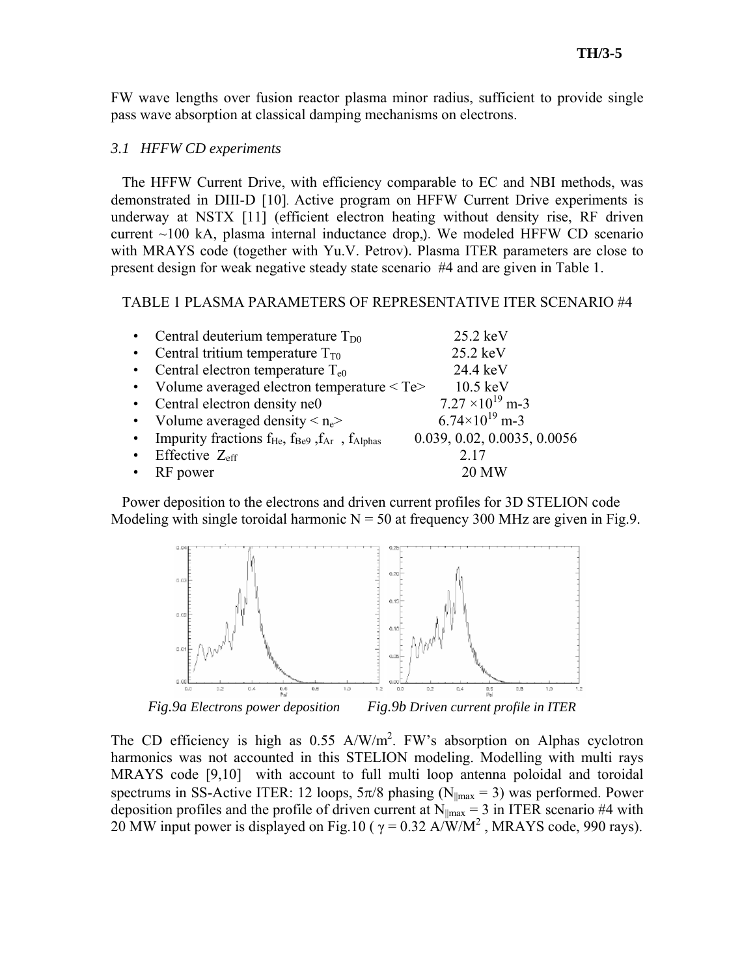FW wave lengths over fusion reactor plasma minor radius, sufficient to provide single pass wave absorption at classical damping mechanisms on electrons.

## *3.1 HFFW CD experiments*

The HFFW Current Drive, with efficiency comparable to EC and NBI methods, was demonstrated in DIII-D [10]. Active program on HFFW Current Drive experiments is underway at NSTX [11] (efficient electron heating without density rise, RF driven current  $\sim$ 100 kA, plasma internal inductance drop,). We modeled HFFW CD scenario with MRAYS code (together with Yu.V. Petrov). Plasma ITER parameters are close to present design for weak negative steady state scenario #4 and are given in Table 1.

### TABLE 1 PLASMA PARAMETERS OF REPRESENTATIVE ITER SCENARIO #4

- Central deuterium temperature  $T_{D0}$  25.2 keV Central tritium temperature  $T_{T0}$  25.2 keV • Central electron temperature  $T_{e0}$  24.4 keV
- 
- Volume averaged electron temperature  $\leq$  Te $>$  10.5 keV<br>• Central electron density ne0 7.27  $\times$ 10<sup>19</sup> m-3
- 
- Volume averaged density  $\leq n_e$
- Impurity fractions  $f_{\text{He}}$ ,  $f_{\text{Be9}}$ ,  $f_{\text{Ar}}$ ,  $f_{\text{Alphas}}$  0.039, 0.02, 0.0035, 0.0056
- Effective  $Z_{\text{eff}}$  2.17
- RF power 20 MW

Central electron density ne0  $7.27 \times 10^{19}$  m-3<br>Volume averaged density  $\langle n_e \rangle$  6.74 $\times 10^{19}$  m-3

 Power deposition to the electrons and driven current profiles for 3D STELION code Modeling with single toroidal harmonic  $N = 50$  at frequency 300 MHz are given in Fig.9.



*Fig.9a Electrons power deposition Fig.9b Driven current profile in ITER* 

The CD efficiency is high as  $0.55$  A/W/m<sup>2</sup>. FW's absorption on Alphas cyclotron harmonics was not accounted in this STELION modeling. Modelling with multi rays MRAYS code [9,10] with account to full multi loop antenna poloidal and toroidal spectrums in SS-Active ITER: 12 loops,  $5\pi/8$  phasing (N<sub>||max</sub> = 3) was performed. Power deposition profiles and the profile of driven current at  $N_{\text{max}} = 3$  in ITER scenario #4 with 20 MW input power is displayed on Fig.10 ( $\gamma = 0.32$  A/W/M<sup>2</sup>, MRAYS code, 990 rays).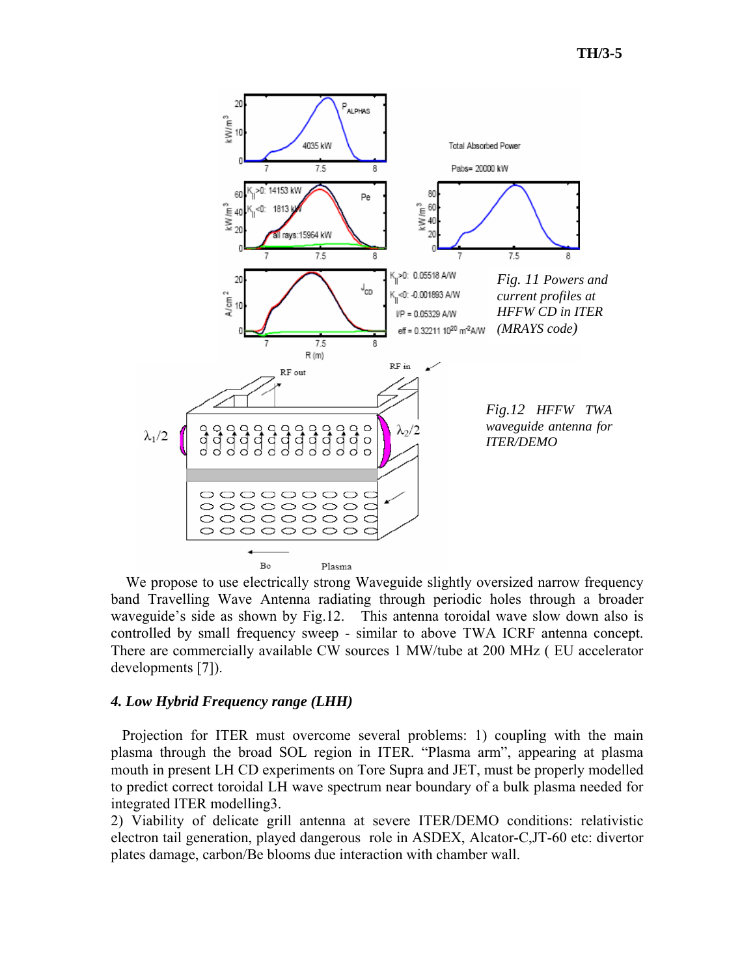

We propose to use electrically strong Waveguide slightly oversized narrow frequency band Travelling Wave Antenna radiating through periodic holes through a broader waveguide's side as shown by Fig.12. This antenna toroidal wave slow down also is controlled by small frequency sweep - similar to above TWA ICRF antenna concept. There are commercially available CW sources 1 MW/tube at 200 MHz ( EU accelerator developments [7]).

## *4. Low Hybrid Frequency range (LHH)*

Projection for ITER must overcome several problems: 1) coupling with the main plasma through the broad SOL region in ITER. "Plasma arm", appearing at plasma mouth in present LH CD experiments on Tore Supra and JET, must be properly modelled to predict correct toroidal LH wave spectrum near boundary of a bulk plasma needed for integrated ITER modelling3.

2) Viability of delicate grill antenna at severe ITER/DEMO conditions: relativistic electron tail generation, played dangerous role in ASDEX, Alcator-C,JT-60 etc: divertor plates damage, carbon/Be blooms due interaction with chamber wall.